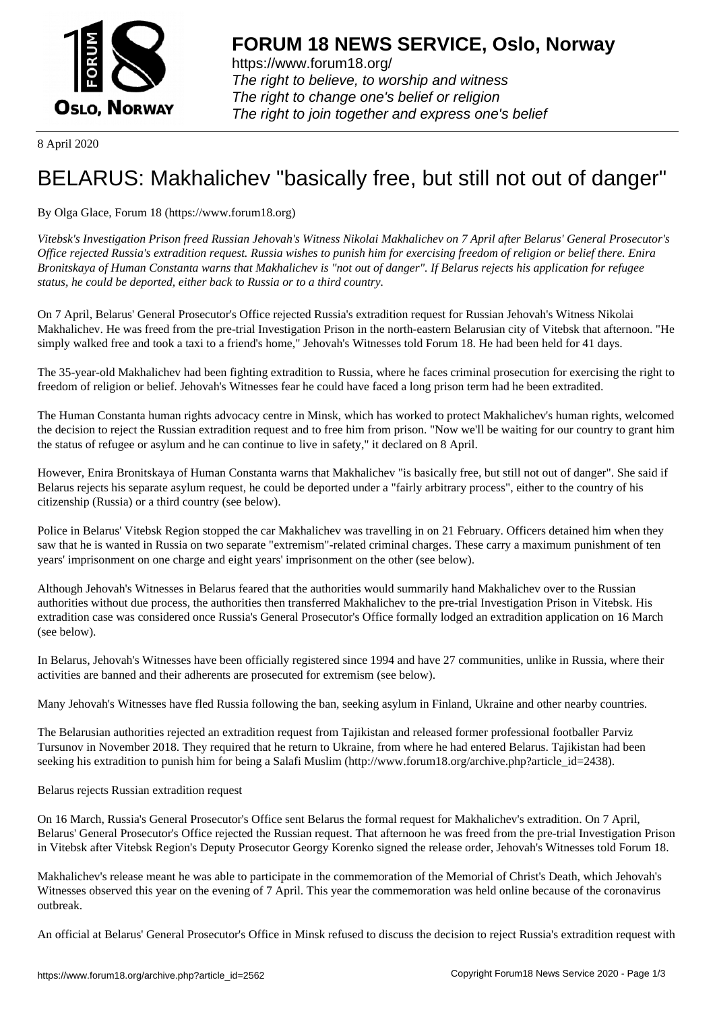

https://www.forum18.org/ The right to believe, to worship and witness The right to change one's belief or religion [The right to join together a](https://www.forum18.org/)nd express one's belief

8 April 2020

## [BELARUS: Mak](https://www.forum18.org)halichev "basically free, but still not out of danger"

By Olga Glace, Forum 18 (https://www.forum18.org)

*Vitebsk's Investigation Prison freed Russian Jehovah's Witness Nikolai Makhalichev on 7 April after Belarus' General Prosecutor's Office rejected Russia's extradition request. Russia wishes to punish him for exercising freedom of religion or belief there. Enira Bronitskaya of Human Constanta warns that Makhalichev is "not out of danger". If Belarus rejects his application for refugee status, he could be deported, either back to Russia or to a third country.*

On 7 April, Belarus' General Prosecutor's Office rejected Russia's extradition request for Russian Jehovah's Witness Nikolai Makhalichev. He was freed from the pre-trial Investigation Prison in the north-eastern Belarusian city of Vitebsk that afternoon. "He simply walked free and took a taxi to a friend's home," Jehovah's Witnesses told Forum 18. He had been held for 41 days.

The 35-year-old Makhalichev had been fighting extradition to Russia, where he faces criminal prosecution for exercising the right to freedom of religion or belief. Jehovah's Witnesses fear he could have faced a long prison term had he been extradited.

The Human Constanta human rights advocacy centre in Minsk, which has worked to protect Makhalichev's human rights, welcomed the decision to reject the Russian extradition request and to free him from prison. "Now we'll be waiting for our country to grant him the status of refugee or asylum and he can continue to live in safety," it declared on 8 April.

However, Enira Bronitskaya of Human Constanta warns that Makhalichev "is basically free, but still not out of danger". She said if Belarus rejects his separate asylum request, he could be deported under a "fairly arbitrary process", either to the country of his citizenship (Russia) or a third country (see below).

Police in Belarus' Vitebsk Region stopped the car Makhalichev was travelling in on 21 February. Officers detained him when they saw that he is wanted in Russia on two separate "extremism"-related criminal charges. These carry a maximum punishment of ten years' imprisonment on one charge and eight years' imprisonment on the other (see below).

Although Jehovah's Witnesses in Belarus feared that the authorities would summarily hand Makhalichev over to the Russian authorities without due process, the authorities then transferred Makhalichev to the pre-trial Investigation Prison in Vitebsk. His extradition case was considered once Russia's General Prosecutor's Office formally lodged an extradition application on 16 March (see below).

In Belarus, Jehovah's Witnesses have been officially registered since 1994 and have 27 communities, unlike in Russia, where their activities are banned and their adherents are prosecuted for extremism (see below).

Many Jehovah's Witnesses have fled Russia following the ban, seeking asylum in Finland, Ukraine and other nearby countries.

The Belarusian authorities rejected an extradition request from Tajikistan and released former professional footballer Parviz Tursunov in November 2018. They required that he return to Ukraine, from where he had entered Belarus. Tajikistan had been seeking his extradition to punish him for being a Salafi Muslim (http://www.forum18.org/archive.php?article\_id=2438).

Belarus rejects Russian extradition request

On 16 March, Russia's General Prosecutor's Office sent Belarus the formal request for Makhalichev's extradition. On 7 April, Belarus' General Prosecutor's Office rejected the Russian request. That afternoon he was freed from the pre-trial Investigation Prison in Vitebsk after Vitebsk Region's Deputy Prosecutor Georgy Korenko signed the release order, Jehovah's Witnesses told Forum 18.

Makhalichev's release meant he was able to participate in the commemoration of the Memorial of Christ's Death, which Jehovah's Witnesses observed this year on the evening of 7 April. This year the commemoration was held online because of the coronavirus outbreak.

An official at Belarus' General Prosecutor's Office in Minsk refused to discuss the decision to reject Russia's extradition request with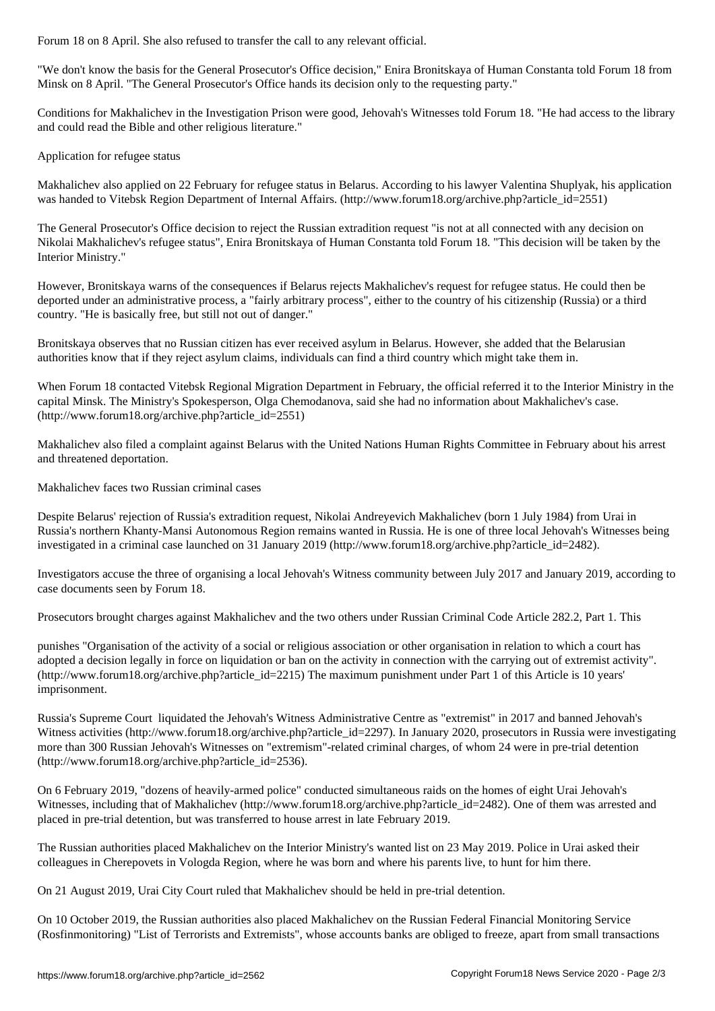"We don't know the basis for the General Prosecutor's Office decision," Enira Bronitskaya of Human Constanta told Forum 18 from Minsk on 8 April. "The General Prosecutor's Office hands its decision only to the requesting party."

Conditions for Makhalichev in the Investigation Prison were good, Jehovah's Witnesses told Forum 18. "He had access to the library and could read the Bible and other religious literature."

Application for refugee status

Makhalichev also applied on 22 February for refugee status in Belarus. According to his lawyer Valentina Shuplyak, his application was handed to Vitebsk Region Department of Internal Affairs. (http://www.forum18.org/archive.php?article\_id=2551)

The General Prosecutor's Office decision to reject the Russian extradition request "is not at all connected with any decision on Nikolai Makhalichev's refugee status", Enira Bronitskaya of Human Constanta told Forum 18. "This decision will be taken by the Interior Ministry."

However, Bronitskaya warns of the consequences if Belarus rejects Makhalichev's request for refugee status. He could then be deported under an administrative process, a "fairly arbitrary process", either to the country of his citizenship (Russia) or a third country. "He is basically free, but still not out of danger."

Bronitskaya observes that no Russian citizen has ever received asylum in Belarus. However, she added that the Belarusian authorities know that if they reject asylum claims, individuals can find a third country which might take them in.

When Forum 18 contacted Vitebsk Regional Migration Department in February, the official referred it to the Interior Ministry in the capital Minsk. The Ministry's Spokesperson, Olga Chemodanova, said she had no information about Makhalichev's case. (http://www.forum18.org/archive.php?article\_id=2551)

Makhalichev also filed a complaint against Belarus with the United Nations Human Rights Committee in February about his arrest and threatened deportation.

Makhalichev faces two Russian criminal cases

Despite Belarus' rejection of Russia's extradition request, Nikolai Andreyevich Makhalichev (born 1 July 1984) from Urai in Russia's northern Khanty-Mansi Autonomous Region remains wanted in Russia. He is one of three local Jehovah's Witnesses being investigated in a criminal case launched on 31 January 2019 (http://www.forum18.org/archive.php?article\_id=2482).

Investigators accuse the three of organising a local Jehovah's Witness community between July 2017 and January 2019, according to case documents seen by Forum 18.

Prosecutors brought charges against Makhalichev and the two others under Russian Criminal Code Article 282.2, Part 1. This

punishes "Organisation of the activity of a social or religious association or other organisation in relation to which a court has adopted a decision legally in force on liquidation or ban on the activity in connection with the carrying out of extremist activity". (http://www.forum18.org/archive.php?article\_id=2215) The maximum punishment under Part 1 of this Article is 10 years' imprisonment.

Russia's Supreme Court liquidated the Jehovah's Witness Administrative Centre as "extremist" in 2017 and banned Jehovah's Witness activities (http://www.forum18.org/archive.php?article\_id=2297). In January 2020, prosecutors in Russia were investigating more than 300 Russian Jehovah's Witnesses on "extremism"-related criminal charges, of whom 24 were in pre-trial detention (http://www.forum18.org/archive.php?article\_id=2536).

On 6 February 2019, "dozens of heavily-armed police" conducted simultaneous raids on the homes of eight Urai Jehovah's Witnesses, including that of Makhalichev (http://www.forum18.org/archive.php?article\_id=2482). One of them was arrested and placed in pre-trial detention, but was transferred to house arrest in late February 2019.

The Russian authorities placed Makhalichev on the Interior Ministry's wanted list on 23 May 2019. Police in Urai asked their colleagues in Cherepovets in Vologda Region, where he was born and where his parents live, to hunt for him there.

On 21 August 2019, Urai City Court ruled that Makhalichev should be held in pre-trial detention.

On 10 October 2019, the Russian authorities also placed Makhalichev on the Russian Federal Financial Monitoring Service (Rosfinmonitoring) "List of Terrorists and Extremists", whose accounts banks are obliged to freeze, apart from small transactions